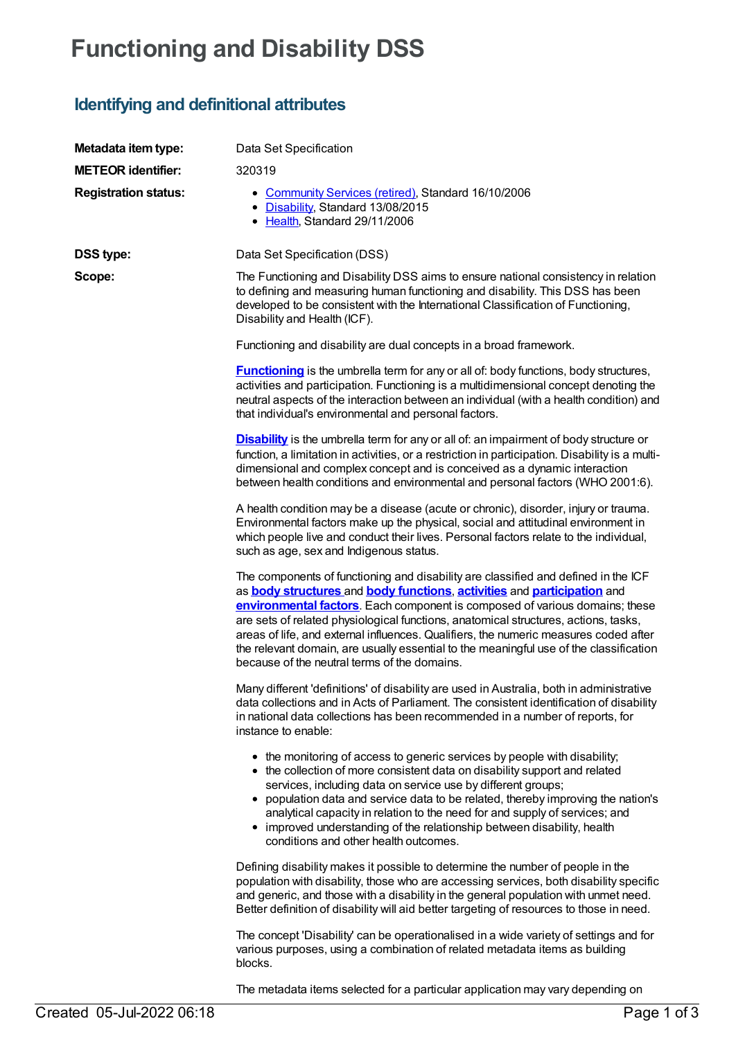# **Functioning and Disability DSS**

## **Identifying and definitional attributes**

| Metadata item type:         | Data Set Specification                                                                                                                                                                                                                                                                                                                                                                                                                                                                                                                                                                             |
|-----------------------------|----------------------------------------------------------------------------------------------------------------------------------------------------------------------------------------------------------------------------------------------------------------------------------------------------------------------------------------------------------------------------------------------------------------------------------------------------------------------------------------------------------------------------------------------------------------------------------------------------|
| <b>METEOR identifier:</b>   | 320319                                                                                                                                                                                                                                                                                                                                                                                                                                                                                                                                                                                             |
| <b>Registration status:</b> | • Community Services (retired), Standard 16/10/2006<br>• Disability, Standard 13/08/2015<br>• Health, Standard 29/11/2006                                                                                                                                                                                                                                                                                                                                                                                                                                                                          |
| <b>DSS type:</b>            | Data Set Specification (DSS)                                                                                                                                                                                                                                                                                                                                                                                                                                                                                                                                                                       |
| Scope:                      | The Functioning and Disability DSS aims to ensure national consistency in relation<br>to defining and measuring human functioning and disability. This DSS has been<br>developed to be consistent with the International Classification of Functioning,<br>Disability and Health (ICF).                                                                                                                                                                                                                                                                                                            |
|                             | Functioning and disability are dual concepts in a broad framework.                                                                                                                                                                                                                                                                                                                                                                                                                                                                                                                                 |
|                             | <b>Functioning</b> is the umbrella term for any or all of: body functions, body structures,<br>activities and participation. Functioning is a multidimensional concept denoting the<br>neutral aspects of the interaction between an individual (with a health condition) and<br>that individual's environmental and personal factors.                                                                                                                                                                                                                                                             |
|                             | <b>Disability</b> is the umbrella term for any or all of: an impairment of body structure or<br>function, a limitation in activities, or a restriction in participation. Disability is a multi-<br>dimensional and complex concept and is conceived as a dynamic interaction<br>between health conditions and environmental and personal factors (WHO 2001:6).                                                                                                                                                                                                                                     |
|                             | A health condition may be a disease (acute or chronic), disorder, injury or trauma.<br>Environmental factors make up the physical, social and attitudinal environment in<br>which people live and conduct their lives. Personal factors relate to the individual,<br>such as age, sex and Indigenous status.                                                                                                                                                                                                                                                                                       |
|                             | The components of functioning and disability are classified and defined in the ICF<br>as <b>body structures</b> and <b>body functions</b> , <b>activities</b> and <b>participation</b> and<br>environmental factors. Each component is composed of various domains; these<br>are sets of related physiological functions, anatomical structures, actions, tasks,<br>areas of life, and external influences. Qualifiers, the numeric measures coded after<br>the relevant domain, are usually essential to the meaningful use of the classification<br>because of the neutral terms of the domains. |
|                             | Many different 'definitions' of disability are used in Australia, both in administrative<br>data collections and in Acts of Parliament. The consistent identification of disability<br>in national data collections has been recommended in a number of reports, for<br>instance to enable:                                                                                                                                                                                                                                                                                                        |
|                             | • the monitoring of access to generic services by people with disability;<br>• the collection of more consistent data on disability support and related<br>services, including data on service use by different groups;<br>• population data and service data to be related, thereby improving the nation's<br>analytical capacity in relation to the need for and supply of services; and<br>• improved understanding of the relationship between disability, health<br>conditions and other health outcomes.                                                                                     |
|                             | Defining disability makes it possible to determine the number of people in the<br>population with disability, those who are accessing services, both disability specific<br>and generic, and those with a disability in the general population with unmet need.<br>Better definition of disability will aid better targeting of resources to those in need.                                                                                                                                                                                                                                        |
|                             | The concept 'Disability' can be operationalised in a wide variety of settings and for<br>various purposes, using a combination of related metadata items as building<br>blocks.                                                                                                                                                                                                                                                                                                                                                                                                                    |
|                             | The metadata items selected for a particular application may vary depending on                                                                                                                                                                                                                                                                                                                                                                                                                                                                                                                     |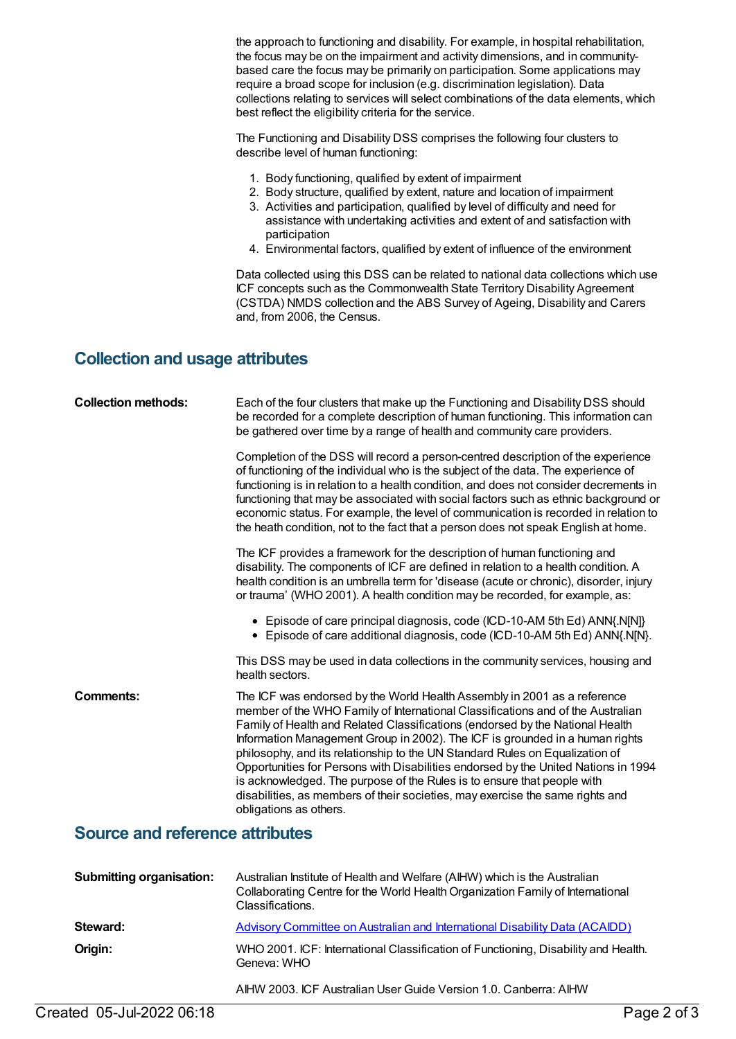the approach to functioning and disability. For example, in hospital rehabilitation, the focus may be on the impairment and activity dimensions, and in communitybased care the focus may be primarily on participation. Some applications may require a broad scope for inclusion (e.g. discrimination legislation). Data collections relating to services will select combinations of the data elements, which best reflect the eligibility criteria for the service.

The Functioning and Disability DSS comprises the following four clusters to describe level of human functioning:

- 1. Body functioning, qualified by extent of impairment
- 2. Body structure, qualified by extent, nature and location of impairment
- 3. Activities and participation, qualified by level of difficulty and need for assistance with undertaking activities and extent of and satisfaction with participation
- 4. Environmental factors, qualified by extent of influence of the environment

Data collected using this DSS can be related to national data collections which use ICF concepts such as the Commonwealth State Territory Disability Agreement (CSTDA) NMDS collection and the ABS Survey of Ageing, Disability and Carers and, from 2006, the Census.

#### **Collection and usage attributes**

| <b>Collection methods:</b>             | Each of the four clusters that make up the Functioning and Disability DSS should<br>be recorded for a complete description of human functioning. This information can<br>be gathered over time by a range of health and community care providers.                                                                                                                                                                                                                                                                                                                                                                                                                                        |
|----------------------------------------|------------------------------------------------------------------------------------------------------------------------------------------------------------------------------------------------------------------------------------------------------------------------------------------------------------------------------------------------------------------------------------------------------------------------------------------------------------------------------------------------------------------------------------------------------------------------------------------------------------------------------------------------------------------------------------------|
|                                        | Completion of the DSS will record a person-centred description of the experience<br>of functioning of the individual who is the subject of the data. The experience of<br>functioning is in relation to a health condition, and does not consider decrements in<br>functioning that may be associated with social factors such as ethnic background or<br>economic status. For example, the level of communication is recorded in relation to<br>the heath condition, not to the fact that a person does not speak English at home.                                                                                                                                                      |
|                                        | The ICF provides a framework for the description of human functioning and<br>disability. The components of ICF are defined in relation to a health condition. A<br>health condition is an umbrella term for 'disease (acute or chronic), disorder, injury<br>or trauma' (WHO 2001). A health condition may be recorded, for example, as:                                                                                                                                                                                                                                                                                                                                                 |
|                                        | • Episode of care principal diagnosis, code (ICD-10-AM 5th Ed) ANN{.N[N]}<br>• Episode of care additional diagnosis, code (ICD-10-AM 5th Ed) ANN{.N[N].                                                                                                                                                                                                                                                                                                                                                                                                                                                                                                                                  |
|                                        | This DSS may be used in data collections in the community services, housing and<br>health sectors.                                                                                                                                                                                                                                                                                                                                                                                                                                                                                                                                                                                       |
| <b>Comments:</b>                       | The ICF was endorsed by the World Health Assembly in 2001 as a reference<br>member of the WHO Family of International Classifications and of the Australian<br>Family of Health and Related Classifications (endorsed by the National Health<br>Information Management Group in 2002). The ICF is grounded in a human rights<br>philosophy, and its relationship to the UN Standard Rules on Equalization of<br>Opportunities for Persons with Disabilities endorsed by the United Nations in 1994<br>is acknowledged. The purpose of the Rules is to ensure that people with<br>disabilities, as members of their societies, may exercise the same rights and<br>obligations as others. |
| <b>Source and reference attributes</b> |                                                                                                                                                                                                                                                                                                                                                                                                                                                                                                                                                                                                                                                                                          |
| <b>Submitting organisation:</b>        | Australian Institute of Health and Welfare (AIHW) which is the Australian<br>Collaborating Centre for the World Health Organization Family of International<br>Classifications.                                                                                                                                                                                                                                                                                                                                                                                                                                                                                                          |
| Steward:                               | <b>Advisory Committee on Australian and International Disability Data (ACAIDD)</b>                                                                                                                                                                                                                                                                                                                                                                                                                                                                                                                                                                                                       |
| Origin.                                | WHO 2001 ICE: International Classification of Eunctioning. Disability and Health.                                                                                                                                                                                                                                                                                                                                                                                                                                                                                                                                                                                                        |

**Origin:** WHO 2001. ICF: International Classification of Functioning, Disability and Health. Geneva: WHO

AIHW 2003. ICF Australian User Guide Version 1.0. Canberra: AIHW